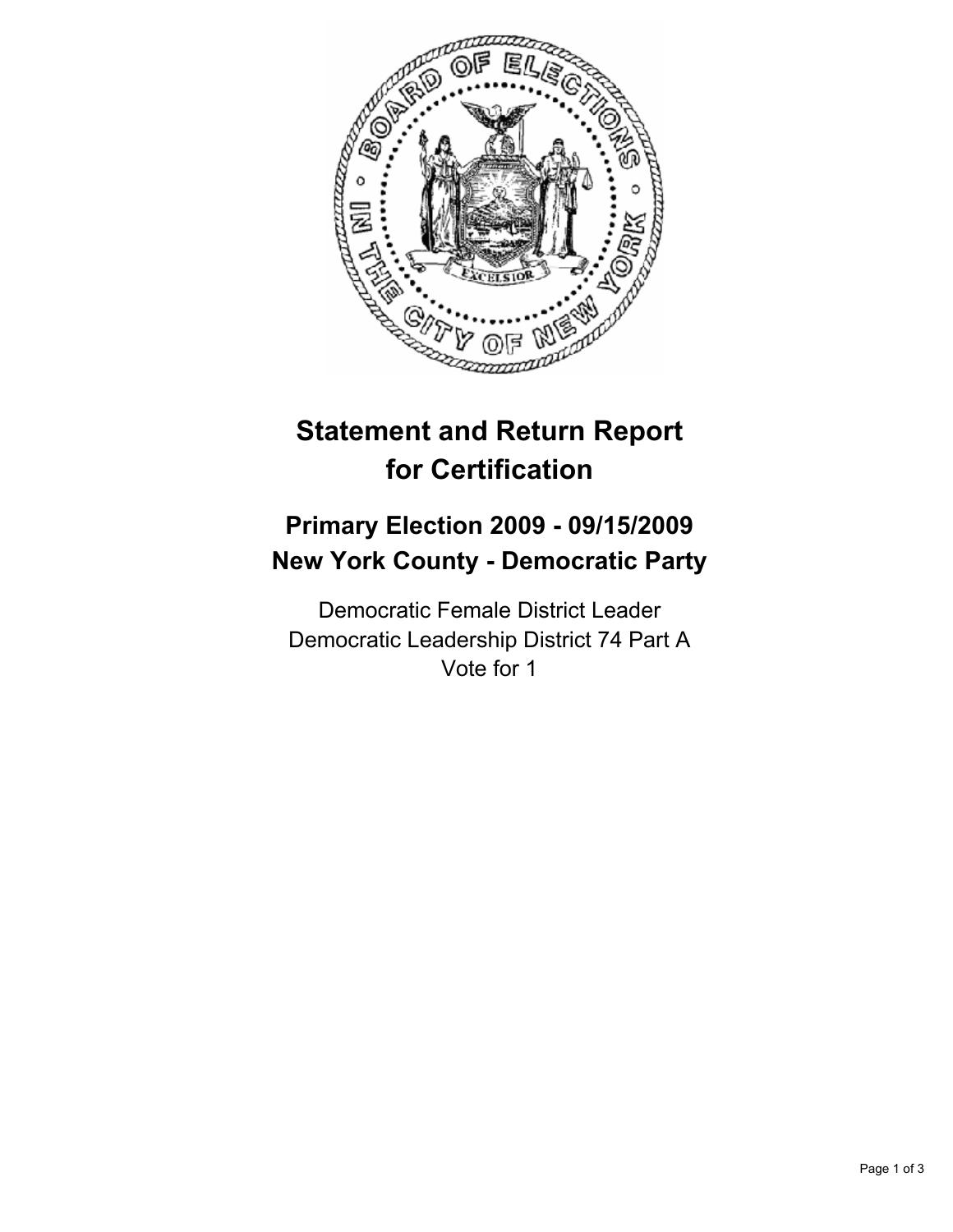

# **Statement and Return Report for Certification**

## **Primary Election 2009 - 09/15/2009 New York County - Democratic Party**

Democratic Female District Leader Democratic Leadership District 74 Part A Vote for 1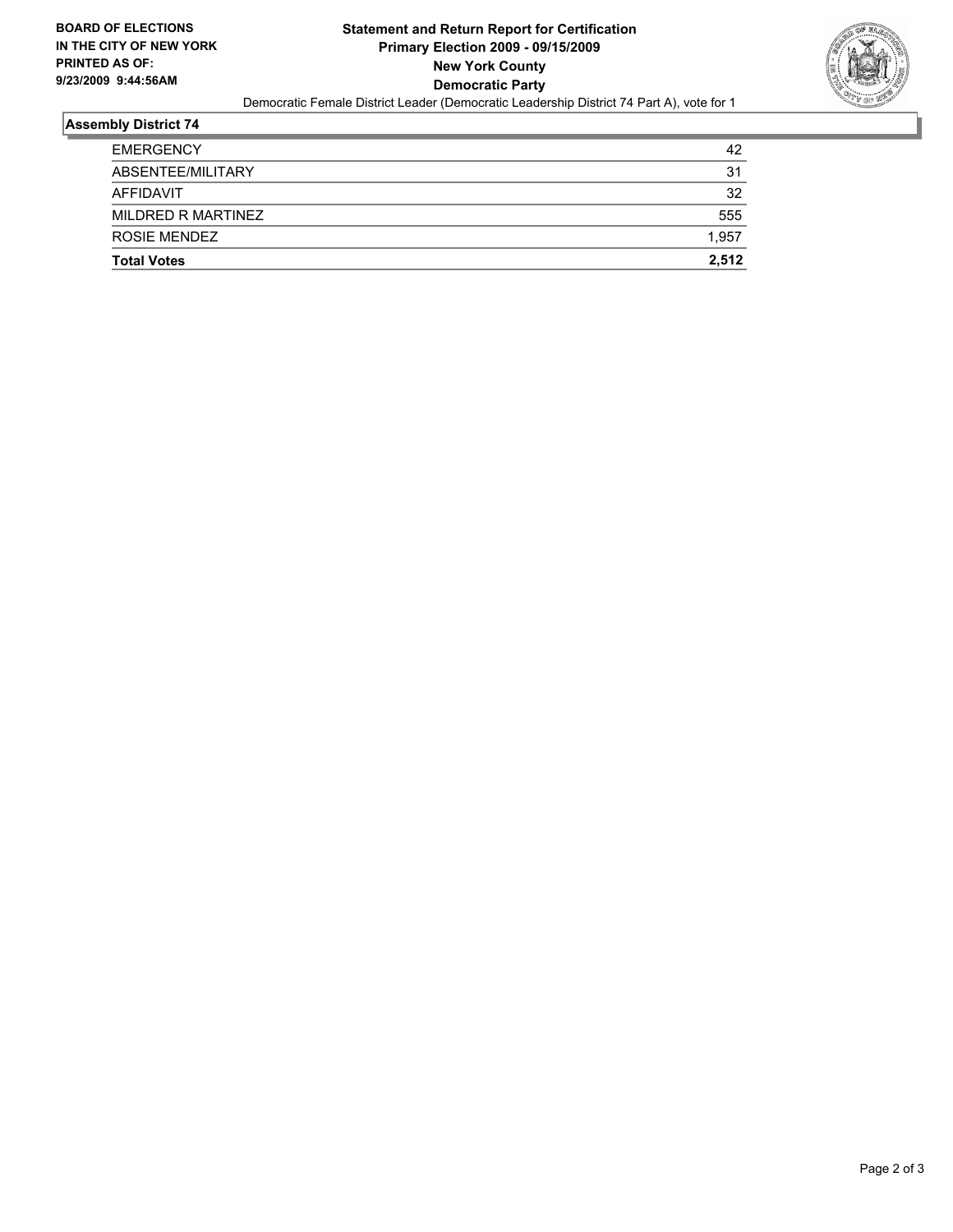

#### **Assembly District 74**

| <b>Total Votes</b> | 2.512 |
|--------------------|-------|
| ROSIE MENDEZ       | 1,957 |
| MILDRED R MARTINEZ | 555   |
| AFFIDAVIT          | 32    |
| ABSENTEE/MILITARY  | 31    |
| <b>EMERGENCY</b>   | 42    |